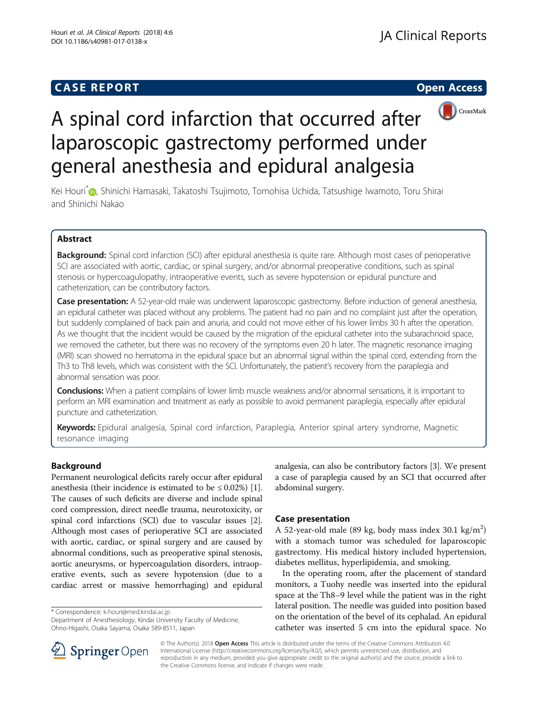## **CASE REPORT CASE REPORT CASE REPORT**





# A spinal cord infarction that occurred after laparoscopic gastrectomy performed under general anesthesia and epidural analgesia

Kei Houri<sup>\*</sup> [,](http://orcid.org/0000-0002-1712-0530) Shinichi Hamasaki, Takatoshi Tsujimoto, Tomohisa Uchida, Tatsushige Iwamoto, Toru Shirai and Shinichi Nakao

## Abstract

Background: Spinal cord infarction (SCI) after epidural anesthesia is quite rare. Although most cases of perioperative SCI are associated with aortic, cardiac, or spinal surgery, and/or abnormal preoperative conditions, such as spinal stenosis or hypercoagulopathy, intraoperative events, such as severe hypotension or epidural puncture and catheterization, can be contributory factors.

Case presentation: A 52-year-old male was underwent laparoscopic gastrectomy. Before induction of general anesthesia, an epidural catheter was placed without any problems. The patient had no pain and no complaint just after the operation, but suddenly complained of back pain and anuria, and could not move either of his lower limbs 30 h after the operation. As we thought that the incident would be caused by the migration of the epidural catheter into the subarachnoid space, we removed the catheter, but there was no recovery of the symptoms even 20 h later. The magnetic resonance imaging (MRI) scan showed no hematoma in the epidural space but an abnormal signal within the spinal cord, extending from the Th3 to Th8 levels, which was consistent with the SCI. Unfortunately, the patient's recovery from the paraplegia and abnormal sensation was poor.

Conclusions: When a patient complains of lower limb muscle weakness and/or abnormal sensations, it is important to perform an MRI examination and treatment as early as possible to avoid permanent paraplegia, especially after epidural puncture and catheterization.

Keywords: Epidural analgesia, Spinal cord infarction, Paraplegia, Anterior spinal artery syndrome, Magnetic resonance imaging

## Background

Permanent neurological deficits rarely occur after epidural anesthesia (their incidence is estimated to be  $\leq 0.02\%$ ) [[1](#page-2-0)]. The causes of such deficits are diverse and include spinal cord compression, direct needle trauma, neurotoxicity, or spinal cord infarctions (SCI) due to vascular issues [[2](#page-2-0)]. Although most cases of perioperative SCI are associated with aortic, cardiac, or spinal surgery and are caused by abnormal conditions, such as preoperative spinal stenosis, aortic aneurysms, or hypercoagulation disorders, intraoperative events, such as severe hypotension (due to a cardiac arrest or massive hemorrhaging) and epidural

\* Correspondence: [k-houri@med.kindai.ac.jp](mailto:k-houri@med.kindai.ac.jp)

Department of Anesthesiology, Kindai University Faculty of Medicine, Ohno-Higashi, Osaka Sayama, Osaka 589-8511, Japan

analgesia, can also be contributory factors [\[3\]](#page-2-0). We present a case of paraplegia caused by an SCI that occurred after abdominal surgery.

## Case presentation

A 52-year-old male (89 kg, body mass index 30.1 kg/m<sup>2</sup>) with a stomach tumor was scheduled for laparoscopic gastrectomy. His medical history included hypertension, diabetes mellitus, hyperlipidemia, and smoking.

In the operating room, after the placement of standard monitors, a Tuohy needle was inserted into the epidural space at the Th8–9 level while the patient was in the right lateral position. The needle was guided into position based on the orientation of the bevel of its cephalad. An epidural catheter was inserted 5 cm into the epidural space. No



© The Author(s). 2018 Open Access This article is distributed under the terms of the Creative Commons Attribution 4.0 International License ([http://creativecommons.org/licenses/by/4.0/\)](http://creativecommons.org/licenses/by/4.0/), which permits unrestricted use, distribution, and reproduction in any medium, provided you give appropriate credit to the original author(s) and the source, provide a link to the Creative Commons license, and indicate if changes were made.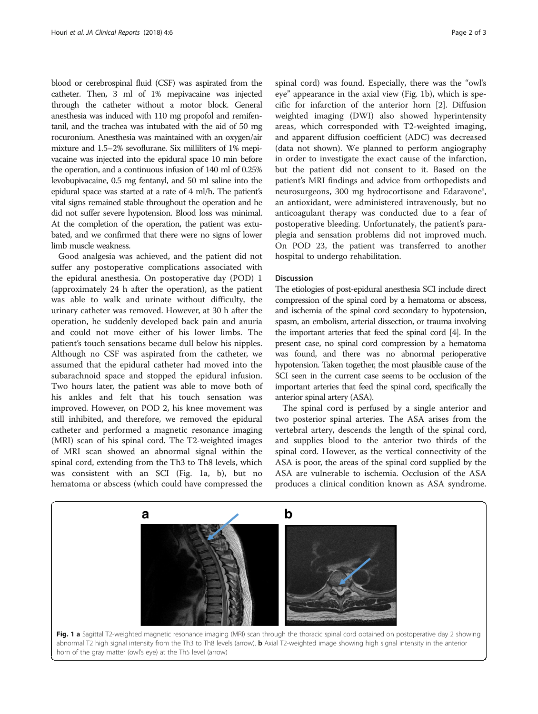<span id="page-1-0"></span>blood or cerebrospinal fluid (CSF) was aspirated from the catheter. Then, 3 ml of 1% mepivacaine was injected through the catheter without a motor block. General anesthesia was induced with 110 mg propofol and remifentanil, and the trachea was intubated with the aid of 50 mg rocuronium. Anesthesia was maintained with an oxygen/air mixture and 1.5–2% sevoflurane. Six milliliters of 1% mepivacaine was injected into the epidural space 10 min before the operation, and a continuous infusion of 140 ml of 0.25% levobupivacaine, 0.5 mg fentanyl, and 50 ml saline into the epidural space was started at a rate of 4 ml/h. The patient's vital signs remained stable throughout the operation and he did not suffer severe hypotension. Blood loss was minimal. At the completion of the operation, the patient was extubated, and we confirmed that there were no signs of lower limb muscle weakness.

Good analgesia was achieved, and the patient did not suffer any postoperative complications associated with the epidural anesthesia. On postoperative day (POD) 1 (approximately 24 h after the operation), as the patient was able to walk and urinate without difficulty, the urinary catheter was removed. However, at 30 h after the operation, he suddenly developed back pain and anuria and could not move either of his lower limbs. The patient's touch sensations became dull below his nipples. Although no CSF was aspirated from the catheter, we assumed that the epidural catheter had moved into the subarachnoid space and stopped the epidural infusion. Two hours later, the patient was able to move both of his ankles and felt that his touch sensation was improved. However, on POD 2, his knee movement was still inhibited, and therefore, we removed the epidural catheter and performed a magnetic resonance imaging (MRI) scan of his spinal cord. The T2-weighted images of MRI scan showed an abnormal signal within the spinal cord, extending from the Th3 to Th8 levels, which was consistent with an SCI (Fig. 1a, b), but no hematoma or abscess (which could have compressed the

spinal cord) was found. Especially, there was the "owl's eye" appearance in the axial view (Fig. 1b), which is specific for infarction of the anterior horn [\[2](#page-2-0)]. Diffusion weighted imaging (DWI) also showed hyperintensity areas, which corresponded with T2-weighted imaging, and apparent diffusion coefficient (ADC) was decreased (data not shown). We planned to perform angiography in order to investigate the exact cause of the infarction, but the patient did not consent to it. Based on the patient's MRI findings and advice from orthopedists and neurosurgeons, 300 mg hydrocortisone and Edaravone®, an antioxidant, were administered intravenously, but no anticoagulant therapy was conducted due to a fear of postoperative bleeding. Unfortunately, the patient's paraplegia and sensation problems did not improved much. On POD 23, the patient was transferred to another hospital to undergo rehabilitation.

#### Discussion

The etiologies of post-epidural anesthesia SCI include direct compression of the spinal cord by a hematoma or abscess, and ischemia of the spinal cord secondary to hypotension, spasm, an embolism, arterial dissection, or trauma involving the important arteries that feed the spinal cord [[4](#page-2-0)]. In the present case, no spinal cord compression by a hematoma was found, and there was no abnormal perioperative hypotension. Taken together, the most plausible cause of the SCI seen in the current case seems to be occlusion of the important arteries that feed the spinal cord, specifically the anterior spinal artery (ASA).

The spinal cord is perfused by a single anterior and two posterior spinal arteries. The ASA arises from the vertebral artery, descends the length of the spinal cord, and supplies blood to the anterior two thirds of the spinal cord. However, as the vertical connectivity of the ASA is poor, the areas of the spinal cord supplied by the ASA are vulnerable to ischemia. Occlusion of the ASA produces a clinical condition known as ASA syndrome.